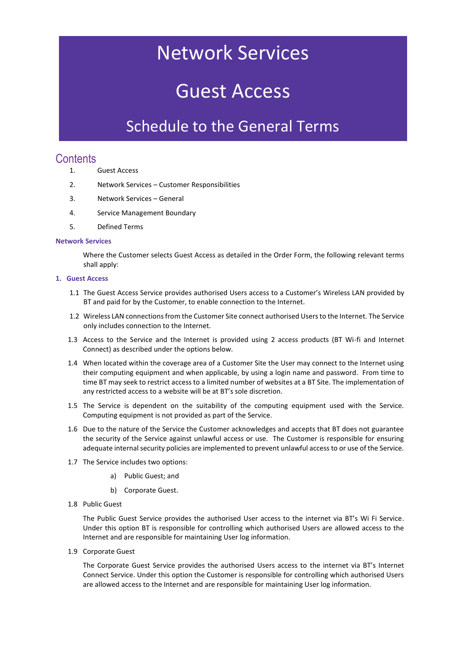# Network Services

## Guest Access

### Schedule to the General Terms

### **Contents**

- 1. Guest Access
- 2. Network Services Customer Responsibilities
- 3. Network Services General
- 4. Service Management Boundary
- 5. Defined Terms

#### **Network Services**

Where the Customer selects Guest Access as detailed in the Order Form, the following relevant terms shall apply:

#### **1. Guest Access**

- 1.1 The Guest Access Service provides authorised Users access to a Customer's Wireless LAN provided by BT and paid for by the Customer, to enable connection to the Internet.
- 1.2 Wireless LAN connections from the Customer Site connect authorised Users to the Internet. The Service only includes connection to the Internet.
- 1.3 Access to the Service and the Internet is provided using 2 access products (BT Wi-fi and Internet Connect) as described under the options below.
- 1.4 When located within the coverage area of a Customer Site the User may connect to the Internet using their computing equipment and when applicable, by using a login name and password. From time to time BT may seek to restrict access to a limited number of websites at a BT Site. The implementation of any restricted access to a website will be at BT's sole discretion.
- 1.5 The Service is dependent on the suitability of the computing equipment used with the Service. Computing equipment is not provided as part of the Service.
- 1.6 Due to the nature of the Service the Customer acknowledges and accepts that BT does not guarantee the security of the Service against unlawful access or use. The Customer is responsible for ensuring adequate internal security policies are implemented to prevent unlawful access to or use of the Service.
- 1.7 The Service includes two options:
	- a) Public Guest; and
	- b) Corporate Guest.
- 1.8 Public Guest

The Public Guest Service provides the authorised User access to the internet via BT's Wi Fi Service. Under this option BT is responsible for controlling which authorised Users are allowed access to the Internet and are responsible for maintaining User log information.

1.9 Corporate Guest

The Corporate Guest Service provides the authorised Users access to the internet via BT's Internet Connect Service. Under this option the Customer is responsible for controlling which authorised Users are allowed access to the Internet and are responsible for maintaining User log information.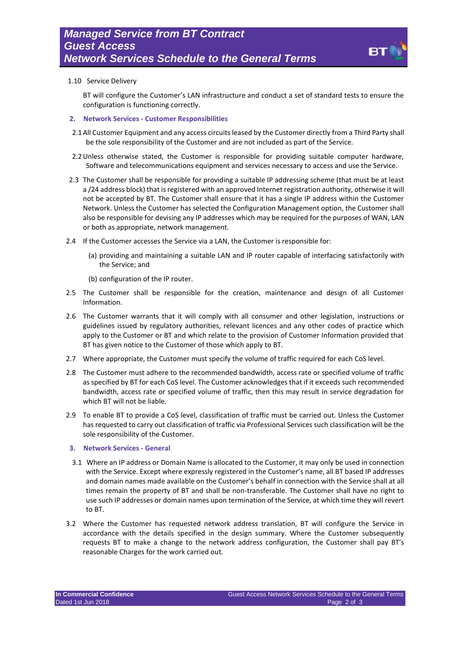

#### 1.10 Service Delivery

BT will configure the Customer's LAN infrastructure and conduct a set of standard tests to ensure the configuration is functioning correctly.

- **2. Network Services - Customer Responsibilities**
- 2.1All Customer Equipment and any access circuits leased by the Customer directly from a Third Party shall be the sole responsibility of the Customer and are not included as part of the Service.
- 2.2Unless otherwise stated, the Customer is responsible for providing suitable computer hardware, Software and telecommunications equipment and services necessary to access and use the Service.
- 2.3 The Customer shall be responsible for providing a suitable IP addressing scheme (that must be at least a /24 address block) that is registered with an approved Internet registration authority, otherwise it will not be accepted by BT. The Customer shall ensure that it has a single IP address within the Customer Network. Unless the Customer has selected the Configuration Management option, the Customer shall also be responsible for devising any IP addresses which may be required for the purposes of WAN, LAN or both as appropriate, network management.
- 2.4 If the Customer accesses the Service via a LAN, the Customer is responsible for:
	- (a) providing and maintaining a suitable LAN and IP router capable of interfacing satisfactorily with the Service; and
	- (b) configuration of the IP router.
- 2.5 The Customer shall be responsible for the creation, maintenance and design of all Customer Information.
- 2.6 The Customer warrants that it will comply with all consumer and other legislation, instructions or guidelines issued by regulatory authorities, relevant licences and any other codes of practice which apply to the Customer or BT and which relate to the provision of Customer Information provided that BT has given notice to the Customer of those which apply to BT.
- 2.7 Where appropriate, the Customer must specify the volume of traffic required for each CoS level.
- 2.8 The Customer must adhere to the recommended bandwidth, access rate or specified volume of traffic as specified by BT for each CoS level. The Customer acknowledges that if it exceeds such recommended bandwidth, access rate or specified volume of traffic, then this may result in service degradation for which BT will not be liable.
- 2.9 To enable BT to provide a CoS level, classification of traffic must be carried out. Unless the Customer has requested to carry out classification of traffic via Professional Services such classification will be the sole responsibility of the Customer.

#### **3. Network Services - General**

- 3.1 Where an IP address or Domain Name is allocated to the Customer, it may only be used in connection with the Service. Except where expressly registered in the Customer's name, all BT based IP addresses and domain names made available on the Customer's behalf in connection with the Service shall at all times remain the property of BT and shall be non-transferable. The Customer shall have no right to use such IP addresses or domain names upon termination of the Service, at which time they will revert to BT.
- 3.2 Where the Customer has requested network address translation, BT will configure the Service in accordance with the details specified in the design summary. Where the Customer subsequently requests BT to make a change to the network address configuration, the Customer shall pay BT's reasonable Charges for the work carried out.